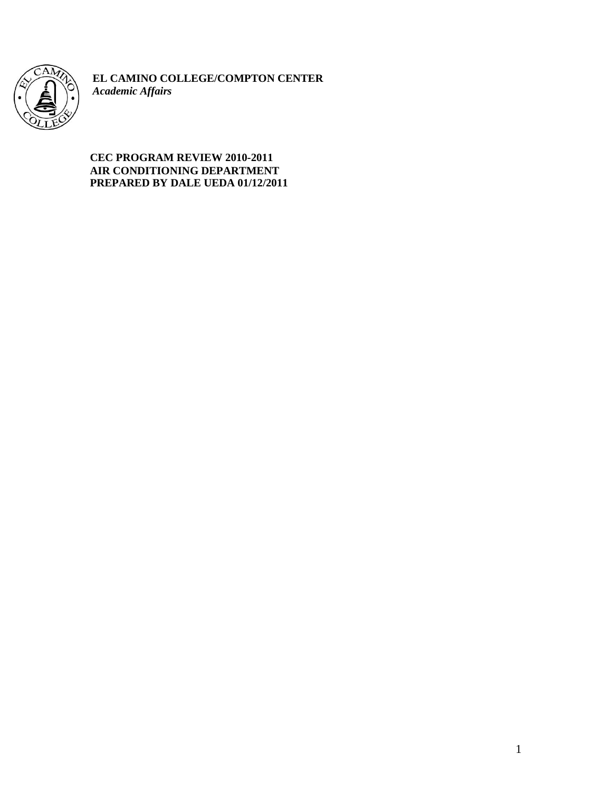

**EL CAMINO COLLEGE/COMPTON CENTER** *Academic Affairs*

# **CEC PROGRAM REVIEW 2010-2011 AIR CONDITIONING DEPARTMENT PREPARED BY DALE UEDA 01/12/2011**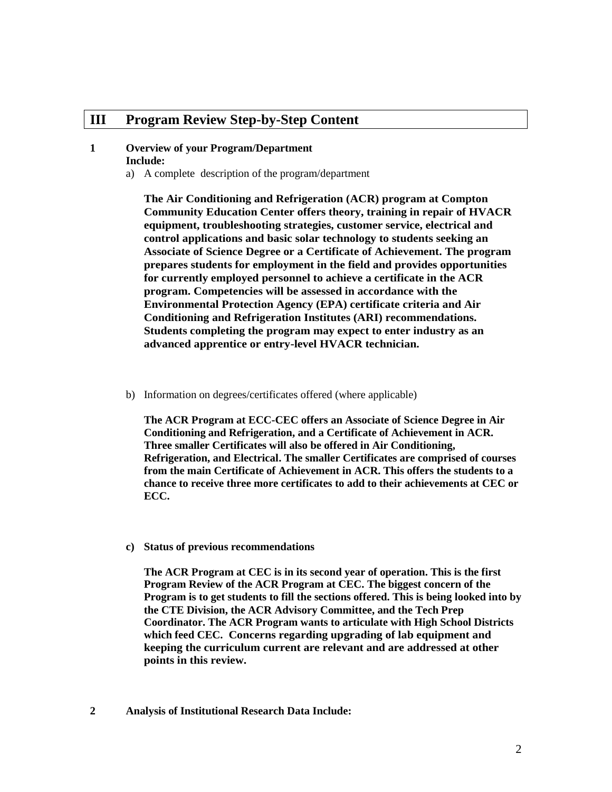# **III Program Review Step-by-Step Content**

#### **1 Overview of your Program/Department Include:**

a) A complete description of the program/department

**The Air Conditioning and Refrigeration (ACR) program at Compton Community Education Center offers theory, training in repair of HVACR equipment, troubleshooting strategies, customer service, electrical and control applications and basic solar technology to students seeking an Associate of Science Degree or a Certificate of Achievement. The program prepares students for employment in the field and provides opportunities for currently employed personnel to achieve a certificate in the ACR program. Competencies will be assessed in accordance with the Environmental Protection Agency (EPA) certificate criteria and Air Conditioning and Refrigeration Institutes (ARI) recommendations. Students completing the program may expect to enter industry as an advanced apprentice or entry-level HVACR technician.** 

b) Information on degrees/certificates offered (where applicable)

**The ACR Program at ECC-CEC offers an Associate of Science Degree in Air Conditioning and Refrigeration, and a Certificate of Achievement in ACR. Three smaller Certificates will also be offered in Air Conditioning, Refrigeration, and Electrical. The smaller Certificates are comprised of courses from the main Certificate of Achievement in ACR. This offers the students to a chance to receive three more certificates to add to their achievements at CEC or ECC.** 

**c) Status of previous recommendations**

**The ACR Program at CEC is in its second year of operation. This is the first Program Review of the ACR Program at CEC. The biggest concern of the Program is to get students to fill the sections offered. This is being looked into by the CTE Division, the ACR Advisory Committee, and the Tech Prep Coordinator. The ACR Program wants to articulate with High School Districts which feed CEC. Concerns regarding upgrading of lab equipment and keeping the curriculum current are relevant and are addressed at other points in this review.** 

**2 Analysis of Institutional Research Data Include:**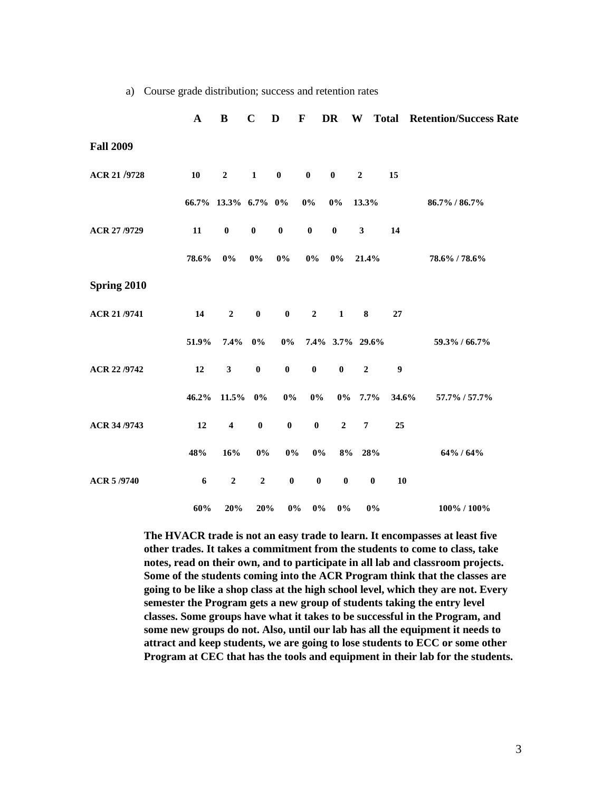|                  | $\mathbf A$      | $\bf{B}$            | $\mathbf C$  | D                | $\mathbf F$      | DR               |                  |                  | <b>W</b> Total Retention/Success Rate |
|------------------|------------------|---------------------|--------------|------------------|------------------|------------------|------------------|------------------|---------------------------------------|
| <b>Fall 2009</b> |                  |                     |              |                  |                  |                  |                  |                  |                                       |
| ACR 21/9728      | ${\bf 10}$       | $\mathbf 2$         | $\mathbf{1}$ | $\pmb{0}$        | $\pmb{0}$        | $\pmb{0}$        | $\boldsymbol{2}$ | 15               |                                       |
|                  |                  | 66.7% 13.3% 6.7% 0% |              |                  | $0\%$            | $0\%$            | 13.3%            |                  | 86.7% / 86.7%                         |
| ACR 27/9729      | 11               | $\pmb{0}$           | $\pmb{0}$    | $\pmb{0}$        | $\pmb{0}$        | $\pmb{0}$        | $\mathbf{3}$     | 14               |                                       |
|                  | 78.6%            | $0\%$               | 0%           | $0\%$            | $0\%$            | $0\%$            | 21.4%            |                  | 78.6% / 78.6%                         |
| Spring 2010      |                  |                     |              |                  |                  |                  |                  |                  |                                       |
| ACR 21/9741      | 14               | $\boldsymbol{2}$    | $\pmb{0}$    | $\bf{0}$         | $\boldsymbol{2}$ | $\mathbf{1}$     | 8                | 27               |                                       |
|                  | 51.9%            | 7.4%                | $0\%$        | $0\%$            |                  |                  | 7.4% 3.7% 29.6%  |                  | 59.3% / 66.7%                         |
| ACR 22/9742      | 12               | $\mathbf{3}$        | $\pmb{0}$    | $\bf{0}$         | $\boldsymbol{0}$ | $\pmb{0}$        | $\boldsymbol{2}$ | $\boldsymbol{9}$ |                                       |
|                  | $46.2\%$         | $11.5\%$            | $0\%$        | $0\%$            | $0\%$            |                  | $0\%$ 7.7%       | 34.6%            | 57.7% / 57.7%                         |
| ACR 34/9743      | 12               | $\boldsymbol{4}$    | $\bf{0}$     | $\bf{0}$         | $\pmb{0}$        | $\boldsymbol{2}$ | $\pmb{7}$        | 25               |                                       |
|                  | 48%              | 16%                 | $0\%$        | $0\%$            | $0\%$            | 8%               | 28%              |                  | 64% / 64%                             |
| ACR 5/9740       | $\boldsymbol{6}$ | $\mathbf 2$         | $\mathbf 2$  | $\boldsymbol{0}$ | $\pmb{0}$        | $\pmb{0}$        | $\pmb{0}$        | 10               |                                       |
|                  | 60%              | 20%                 | 20%          | $0\%$            | $0\%$            | $0\%$            | $0\%$            |                  | 100% / 100%                           |

a) Course grade distribution; success and retention rates

**The HVACR trade is not an easy trade to learn. It encompasses at least five other trades. It takes a commitment from the students to come to class, take notes, read on their own, and to participate in all lab and classroom projects. Some of the students coming into the ACR Program think that the classes are going to be like a shop class at the high school level, which they are not. Every semester the Program gets a new group of students taking the entry level classes. Some groups have what it takes to be successful in the Program, and some new groups do not. Also, until our lab has all the equipment it needs to attract and keep students, we are going to lose students to ECC or some other Program at CEC that has the tools and equipment in their lab for the students.**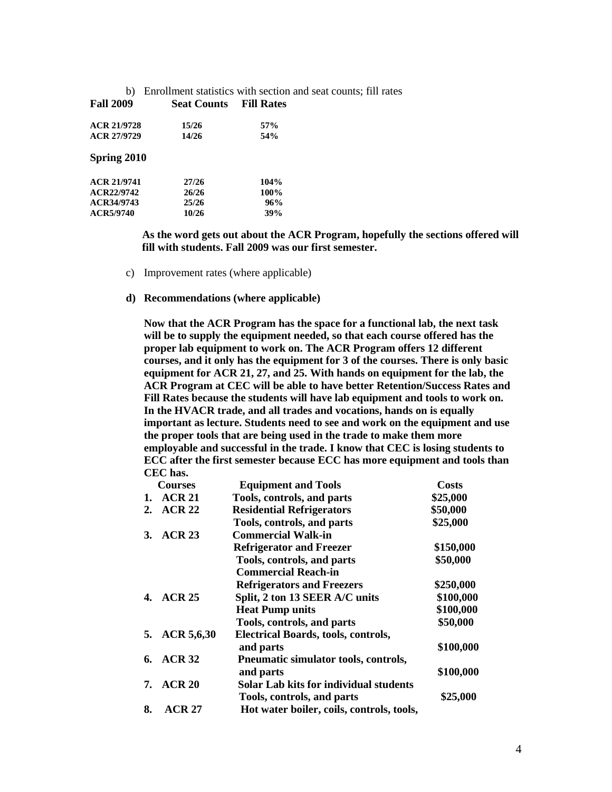| b)               | Enrollment statistics with section and seat counts; fill rates |                   |  |
|------------------|----------------------------------------------------------------|-------------------|--|
| <b>Fall 2009</b> | <b>Seat Counts</b>                                             | <b>Fill Rates</b> |  |
| ACR 21/9728      | 15/26                                                          | 57%               |  |
| ACR 27/9729      | 14/26                                                          | 54%               |  |
| Spring 2010      |                                                                |                   |  |
| ACR 21/9741      | 27/26                                                          | 104%              |  |
| ACR22/9742       | 26/26                                                          | 100%              |  |
| ACR34/9743       | 25/26                                                          | 96%               |  |
| ACR5/9740        | 10/26                                                          | 39%               |  |
|                  |                                                                |                   |  |

 **As the word gets out about the ACR Program, hopefully the sections offered will fill with students. Fall 2009 was our first semester.** 

c) Improvement rates (where applicable)

#### **d) Recommendations (where applicable)**

**Now that the ACR Program has the space for a functional lab, the next task will be to supply the equipment needed, so that each course offered has the proper lab equipment to work on. The ACR Program offers 12 different courses, and it only has the equipment for 3 of the courses. There is only basic equipment for ACR 21, 27, and 25. With hands on equipment for the lab, the ACR Program at CEC will be able to have better Retention/Success Rates and Fill Rates because the students will have lab equipment and tools to work on. In the HVACR trade, and all trades and vocations, hands on is equally important as lecture. Students need to see and work on the equipment and use the proper tools that are being used in the trade to make them more employable and successful in the trade. I know that CEC is losing students to ECC after the first semester because ECC has more equipment and tools than CEC has.**

|    | <b>Courses</b>    | <b>Equipment and Tools</b>                 | <b>Costs</b> |
|----|-------------------|--------------------------------------------|--------------|
| 1. | <b>ACR 21</b>     | Tools, controls, and parts                 | \$25,000     |
| 2. | <b>ACR 22</b>     | <b>Residential Refrigerators</b>           | \$50,000     |
|    |                   | Tools, controls, and parts                 | \$25,000     |
| 3. | ACR <sub>23</sub> | <b>Commercial Walk-in</b>                  |              |
|    |                   | <b>Refrigerator and Freezer</b>            | \$150,000    |
|    |                   | Tools, controls, and parts                 | \$50,000     |
|    |                   | <b>Commercial Reach-in</b>                 |              |
|    |                   | <b>Refrigerators and Freezers</b>          | \$250,000    |
| 4. | <b>ACR 25</b>     | Split, 2 ton 13 SEER A/C units             | \$100,000    |
|    |                   | <b>Heat Pump units</b>                     | \$100,000    |
|    |                   | Tools, controls, and parts                 | \$50,000     |
| 5. | ACR 5,6,30        | <b>Electrical Boards, tools, controls,</b> |              |
|    |                   | and parts                                  | \$100,000    |
| 6. | <b>ACR 32</b>     | Pneumatic simulator tools, controls,       |              |
|    |                   | and parts                                  | \$100,000    |
| 7. | ACR <sub>20</sub> | Solar Lab kits for individual students     |              |
|    |                   | Tools, controls, and parts                 | \$25,000     |
| 8. | <b>ACR 27</b>     | Hot water boiler, coils, controls, tools,  |              |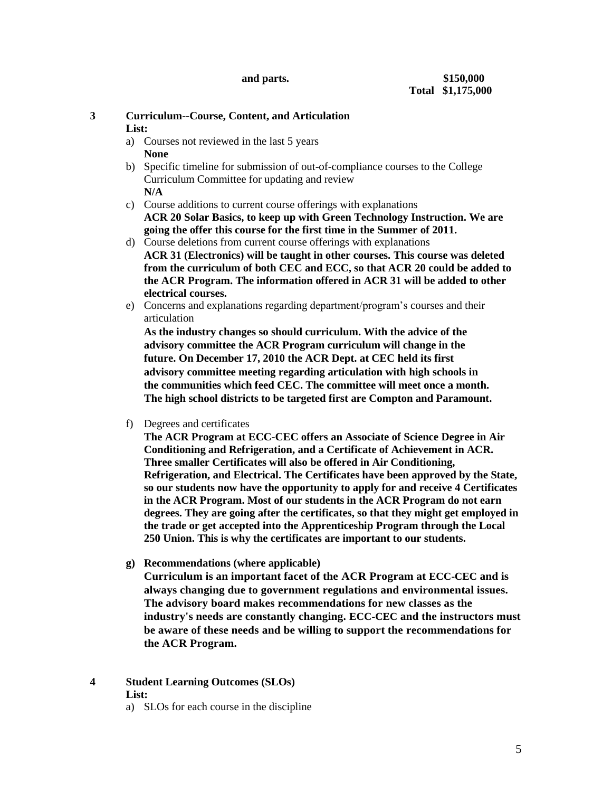# **3 Curriculum--Course, Content, and Articulation**

## **List:**

- a) Courses not reviewed in the last 5 years **None**
- b) Specific timeline for submission of out-of-compliance courses to the College Curriculum Committee for updating and review **N/A**
- c) Course additions to current course offerings with explanations **ACR 20 Solar Basics, to keep up with Green Technology Instruction. We are going the offer this course for the first time in the Summer of 2011.**
- d) Course deletions from current course offerings with explanations **ACR 31 (Electronics) will be taught in other courses. This course was deleted from the curriculum of both CEC and ECC, so that ACR 20 could be added to the ACR Program. The information offered in ACR 31 will be added to other electrical courses.**
- e) Concerns and explanations regarding department/program's courses and their articulation

**As the industry changes so should curriculum. With the advice of the advisory committee the ACR Program curriculum will change in the future. On December 17, 2010 the ACR Dept. at CEC held its first advisory committee meeting regarding articulation with high schools in the communities which feed CEC. The committee will meet once a month. The high school districts to be targeted first are Compton and Paramount.**

f) Degrees and certificates

**The ACR Program at ECC-CEC offers an Associate of Science Degree in Air Conditioning and Refrigeration, and a Certificate of Achievement in ACR. Three smaller Certificates will also be offered in Air Conditioning, Refrigeration, and Electrical. The Certificates have been approved by the State, so our students now have the opportunity to apply for and receive 4 Certificates in the ACR Program. Most of our students in the ACR Program do not earn degrees. They are going after the certificates, so that they might get employed in the trade or get accepted into the Apprenticeship Program through the Local 250 Union. This is why the certificates are important to our students.**

**g) Recommendations (where applicable)**

**Curriculum is an important facet of the ACR Program at ECC-CEC and is always changing due to government regulations and environmental issues. The advisory board makes recommendations for new classes as the industry's needs are constantly changing. ECC-CEC and the instructors must be aware of these needs and be willing to support the recommendations for the ACR Program.** 

- **4 Student Learning Outcomes (SLOs) List:**
	- a) SLOs for each course in the discipline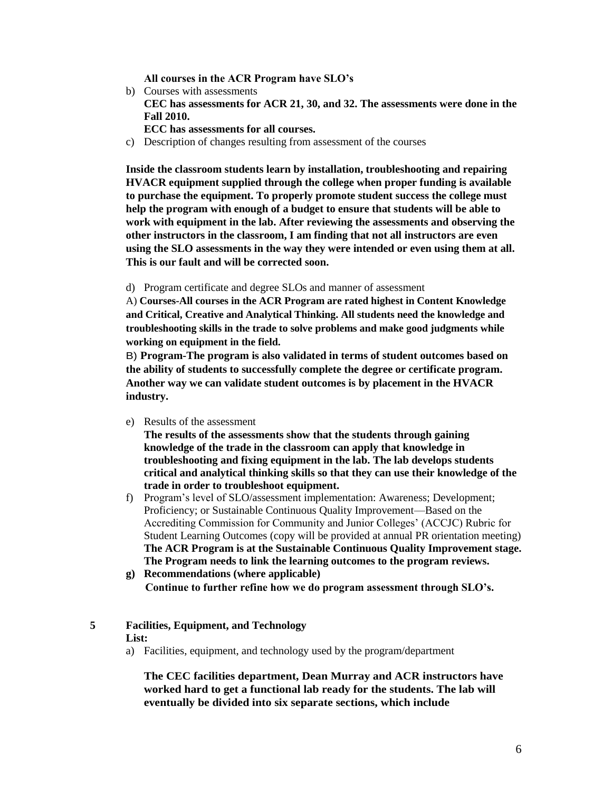**All courses in the ACR Program have SLO's** 

- b) Courses with assessments **CEC has assessments for ACR 21, 30, and 32. The assessments were done in the Fall 2010. ECC has assessments for all courses.**
- c) Description of changes resulting from assessment of the courses

**Inside the classroom students learn by installation, troubleshooting and repairing HVACR equipment supplied through the college when proper funding is available to purchase the equipment. To properly promote student success the college must help the program with enough of a budget to ensure that students will be able to work with equipment in the lab. After reviewing the assessments and observing the other instructors in the classroom, I am finding that not all instructors are even using the SLO assessments in the way they were intended or even using them at all. This is our fault and will be corrected soon.**

d) Program certificate and degree SLOs and manner of assessment

A) **Courses-All courses in the ACR Program are rated highest in Content Knowledge and Critical, Creative and Analytical Thinking. All students need the knowledge and troubleshooting skills in the trade to solve problems and make good judgments while working on equipment in the field.**

B) **Program-The program is also validated in terms of student outcomes based on the ability of students to successfully complete the degree or certificate program. Another way we can validate student outcomes is by placement in the HVACR industry.** 

e) Results of the assessment

**The results of the assessments show that the students through gaining knowledge of the trade in the classroom can apply that knowledge in troubleshooting and fixing equipment in the lab. The lab develops students critical and analytical thinking skills so that they can use their knowledge of the trade in order to troubleshoot equipment.**

- f) Program's level of SLO/assessment implementation: Awareness; Development; Proficiency; or Sustainable Continuous Quality Improvement—Based on the Accrediting Commission for Community and Junior Colleges' (ACCJC) Rubric for Student Learning Outcomes (copy will be provided at annual PR orientation meeting) **The ACR Program is at the Sustainable Continuous Quality Improvement stage. The Program needs to link the learning outcomes to the program reviews.**
- **g) Recommendations (where applicable) Continue to further refine how we do program assessment through SLO's.**

#### **5 Facilities, Equipment, and Technology**

- **List:**
- a) Facilities, equipment, and technology used by the program/department

**The CEC facilities department, Dean Murray and ACR instructors have worked hard to get a functional lab ready for the students. The lab will eventually be divided into six separate sections, which include**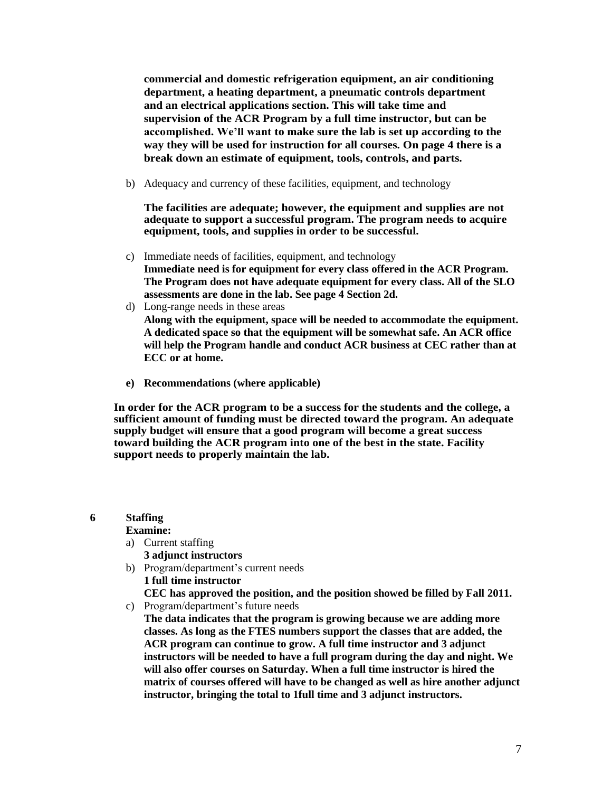**commercial and domestic refrigeration equipment, an air conditioning department, a heating department, a pneumatic controls department and an electrical applications section. This will take time and supervision of the ACR Program by a full time instructor, but can be accomplished. We'll want to make sure the lab is set up according to the way they will be used for instruction for all courses. On page 4 there is a break down an estimate of equipment, tools, controls, and parts.**

b) Adequacy and currency of these facilities, equipment, and technology

**The facilities are adequate; however, the equipment and supplies are not adequate to support a successful program. The program needs to acquire equipment, tools, and supplies in order to be successful.** 

- c) Immediate needs of facilities, equipment, and technology **Immediate need is for equipment for every class offered in the ACR Program. The Program does not have adequate equipment for every class. All of the SLO assessments are done in the lab. See page 4 Section 2d.**
- d) Long-range needs in these areas **Along with the equipment, space will be needed to accommodate the equipment. A dedicated space so that the equipment will be somewhat safe. An ACR office will help the Program handle and conduct ACR business at CEC rather than at ECC or at home.**
- **e) Recommendations (where applicable)**

**In order for the ACR program to be a success for the students and the college, a sufficient amount of funding must be directed toward the program. An adequate supply budget will ensure that a good program will become a great success toward building the ACR program into one of the best in the state. Facility support needs to properly maintain the lab.**

### **6 Staffing**

#### **Examine:**

- a) Current staffing
	- **3 adjunct instructors**
- b) Program/department's current needs **1 full time instructor**
- **CEC has approved the position, and the position showed be filled by Fall 2011.** c) Program/department's future needs
- **The data indicates that the program is growing because we are adding more classes. As long as the FTES numbers support the classes that are added, the ACR program can continue to grow. A full time instructor and 3 adjunct instructors will be needed to have a full program during the day and night. We will also offer courses on Saturday. When a full time instructor is hired the matrix of courses offered will have to be changed as well as hire another adjunct instructor, bringing the total to 1full time and 3 adjunct instructors.**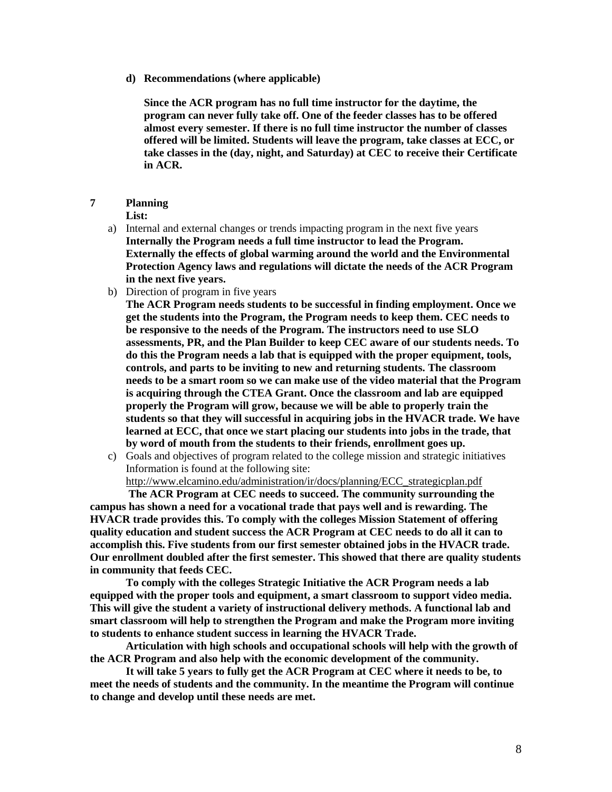**d) Recommendations (where applicable)**

**Since the ACR program has no full time instructor for the daytime, the program can never fully take off. One of the feeder classes has to be offered almost every semester. If there is no full time instructor the number of classes offered will be limited. Students will leave the program, take classes at ECC, or take classes in the (day, night, and Saturday) at CEC to receive their Certificate in ACR.**

## **7 Planning**

**List:**

- a) Internal and external changes or trends impacting program in the next five years **Internally the Program needs a full time instructor to lead the Program. Externally the effects of global warming around the world and the Environmental Protection Agency laws and regulations will dictate the needs of the ACR Program in the next five years.**
- b) Direction of program in five years

**The ACR Program needs students to be successful in finding employment. Once we get the students into the Program, the Program needs to keep them. CEC needs to be responsive to the needs of the Program. The instructors need to use SLO assessments, PR, and the Plan Builder to keep CEC aware of our students needs. To do this the Program needs a lab that is equipped with the proper equipment, tools, controls, and parts to be inviting to new and returning students. The classroom needs to be a smart room so we can make use of the video material that the Program is acquiring through the CTEA Grant. Once the classroom and lab are equipped properly the Program will grow, because we will be able to properly train the students so that they will successful in acquiring jobs in the HVACR trade. We have learned at ECC, that once we start placing our students into jobs in the trade, that by word of mouth from the students to their friends, enrollment goes up.**

c) Goals and objectives of program related to the college mission and strategic initiatives Information is found at the following site:

[http://www.elcamino.edu/administration/ir/docs/planning/ECC\\_strategicplan.pdf](http://www.elcamino.edu/administration/ir/docs/planning/ECC_strategicplan.pdf)

**The ACR Program at CEC needs to succeed. The community surrounding the campus has shown a need for a vocational trade that pays well and is rewarding. The HVACR trade provides this. To comply with the colleges Mission Statement of offering quality education and student success the ACR Program at CEC needs to do all it can to accomplish this. Five students from our first semester obtained jobs in the HVACR trade. Our enrollment doubled after the first semester. This showed that there are quality students in community that feeds CEC.** 

**To comply with the colleges Strategic Initiative the ACR Program needs a lab equipped with the proper tools and equipment, a smart classroom to support video media. This will give the student a variety of instructional delivery methods. A functional lab and smart classroom will help to strengthen the Program and make the Program more inviting to students to enhance student success in learning the HVACR Trade.**

**Articulation with high schools and occupational schools will help with the growth of the ACR Program and also help with the economic development of the community.**

**It will take 5 years to fully get the ACR Program at CEC where it needs to be, to meet the needs of students and the community. In the meantime the Program will continue to change and develop until these needs are met.**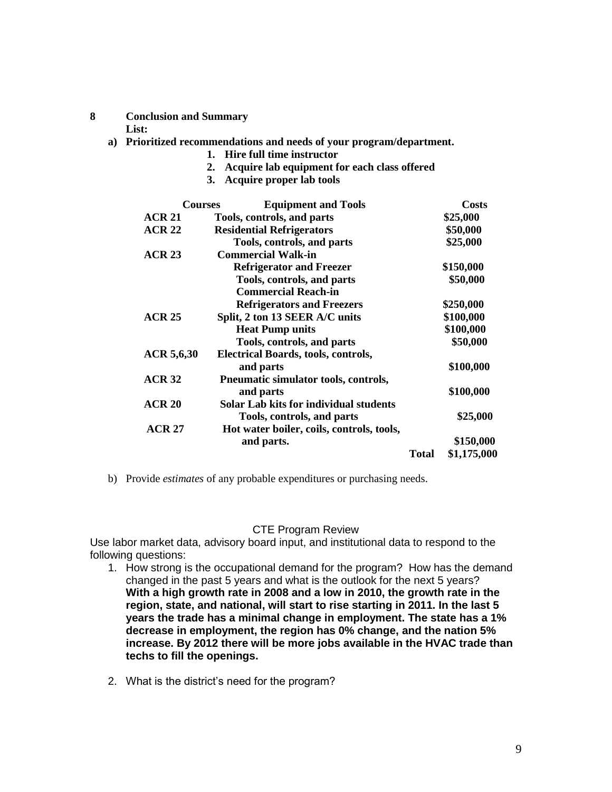**8 Conclusion and Summary**

**List:**

- **a) Prioritized recommendations and needs of your program/department.** 
	- **1. Hire full time instructor**
	- **2. Acquire lab equipment for each class offered**
	- **3. Acquire proper lab tools**

| <b>Courses</b>    | <b>Equipment and Tools</b>                |              | <b>Costs</b> |
|-------------------|-------------------------------------------|--------------|--------------|
| <b>ACR 21</b>     | Tools, controls, and parts                |              | \$25,000     |
| <b>ACR 22</b>     | <b>Residential Refrigerators</b>          |              | \$50,000     |
|                   | Tools, controls, and parts                |              | \$25,000     |
| ACR <sub>23</sub> | <b>Commercial Walk-in</b>                 |              |              |
|                   | <b>Refrigerator and Freezer</b>           |              | \$150,000    |
|                   | Tools, controls, and parts                |              | \$50,000     |
|                   | <b>Commercial Reach-in</b>                |              |              |
|                   | <b>Refrigerators and Freezers</b>         |              | \$250,000    |
| ACR <sub>25</sub> | Split, 2 ton 13 SEER A/C units            |              | \$100,000    |
|                   | <b>Heat Pump units</b>                    |              | \$100,000    |
|                   | Tools, controls, and parts                |              | \$50,000     |
| ACR 5,6,30        | Electrical Boards, tools, controls,       |              |              |
|                   | and parts                                 |              | \$100,000    |
| ACR <sub>32</sub> | Pneumatic simulator tools, controls,      |              |              |
|                   | and parts                                 |              | \$100,000    |
| ACR <sub>20</sub> | Solar Lab kits for individual students    |              |              |
|                   | Tools, controls, and parts                |              | \$25,000     |
| <b>ACR 27</b>     | Hot water boiler, coils, controls, tools, |              |              |
|                   | and parts.                                |              | \$150,000    |
|                   |                                           | <b>Total</b> | \$1,175,000  |

b) Provide *estimates* of any probable expenditures or purchasing needs.

### CTE Program Review

Use labor market data, advisory board input, and institutional data to respond to the following questions:

- 1. How strong is the occupational demand for the program? How has the demand changed in the past 5 years and what is the outlook for the next 5 years? **With a high growth rate in 2008 and a low in 2010, the growth rate in the region, state, and national, will start to rise starting in 2011. In the last 5 years the trade has a minimal change in employment. The state has a 1% decrease in employment, the region has 0% change, and the nation 5% increase. By 2012 there will be more jobs available in the HVAC trade than techs to fill the openings.**
- 2. What is the district's need for the program?